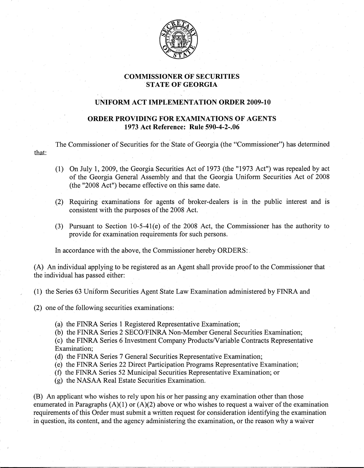

## **COMMISSIONER** OF SECURITIES **STATE** OF GEORGIA

## '- **UNIFORM ACT IMPLEMENTATION ORDER 2009-10**

## **ORDER PROVIDING FOR EXAMINATIONS OF AGENTS 1973 Act Reference: Rule 590-4-2-.06**

The Commissioner of Securities for the State of Georgia (the "Commissioner") has determined that:

- (1)- On July **1,** 2009, the Georgia Securities Act of 1973 (the "1973 Act") was repealed by act of the Georgia General Assembly and that the Georgia Uniform Securities Act of 2008 (the "2008 Act") became effective on this same date.
- (2) Requiring examinations for agents of broker-dealers is in the public interest and is consistent with the purposes of the 2008 Act.
- (3)- Pursuant to Section 10-5-41(e) of the 2008 Act, the Commissioner has the authority to provide for examination requirements for such persons.

In accordance with the above, the Commissioner hereby ORDERS:

(A) An individual applying to be registered as an Agent shall provide proof to the Commissioner that the individual has passed either:

- (1) the Series 63 Uniform Securities Agent State Law Examination administered by FINRA and
- $(2)$  one of the following securities examinations:
	- (a) the FINRA Series 1 Registered Representative Examination;
	- (b) the FINRA Series 2 SECO/FINRA Non-Member General Securities Examination;
	- (c) the FINRA Series 6 Investment Company Products/Variable Contracts Representative Examination;
	- (d) the FINRA Series 7 General Securities Representative Examination;
	- (e) the FINRA Series 22 Direct Participation Programs Representative Examination~
	- (f) the FINRA Series 52 Municipal Securities Representative Examination; or
	- (g) the NASAA Real Estate Securities Examination.

(B) An applicant who wishes to rely upon his or her passing any examination other than those enumerated in Paragraphs  $(A)(1)$  or  $(A)(2)$  above or who wishes to request a waiver of the examination requirements of this Order must submit a written request for consideration identifying the examination in question, its content, and the agency administering the examination, or the reason why a waiver